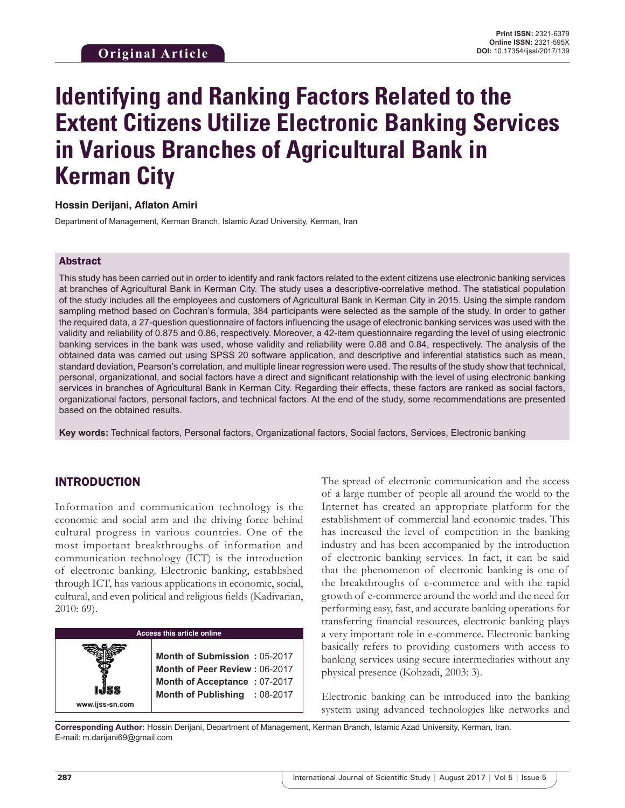# **Identifying and Ranking Factors Related to the Extent Citizens Utilize Electronic Banking Services in Various Branches of Agricultural Bank in Kerman City**

## **Hossin Derijani, Aflaton Amiri**

Department of Management, Kerman Branch, Islamic Azad University, Kerman, Iran

## Abstract

This study has been carried out in order to identify and rank factors related to the extent citizens use electronic banking services at branches of Agricultural Bank in Kerman City. The study uses a descriptive-correlative method. The statistical population of the study includes all the employees and customers of Agricultural Bank in Kerman City in 2015. Using the simple random sampling method based on Cochran's formula, 384 participants were selected as the sample of the study. In order to gather the required data, a 27-question questionnaire of factors influencing the usage of electronic banking services was used with the validity and reliability of 0.875 and 0.86, respectively. Moreover, a 42-item questionnaire regarding the level of using electronic banking services in the bank was used, whose validity and reliability were 0.88 and 0.84, respectively. The analysis of the obtained data was carried out using SPSS 20 software application, and descriptive and inferential statistics such as mean, standard deviation, Pearson's correlation, and multiple linear regression were used. The results of the study show that technical, personal, organizational, and social factors have a direct and significant relationship with the level of using electronic banking services in branches of Agricultural Bank in Kerman City. Regarding their effects, these factors are ranked as social factors, organizational factors, personal factors, and technical factors. At the end of the study, some recommendations are presented based on the obtained results.

**Key words:** Technical factors, Personal factors, Organizational factors, Social factors, Services, Electronic banking

## INTRODUCTION

Information and communication technology is the economic and social arm and the driving force behind cultural progress in various countries. One of the most important breakthroughs of information and communication technology (ICT) is the introduction of electronic banking. Electronic banking, established through ICT, has various applications in economic, social, cultural, and even political and religious fields (Kadivarian, 2010: 69).



The spread of electronic communication and the access of a large number of people all around the world to the Internet has created an appropriate platform for the establishment of commercial land economic trades. This has increased the level of competition in the banking industry and has been accompanied by the introduction of electronic banking services. In fact, it can be said that the phenomenon of electronic banking is one of the breakthroughs of e-commerce and with the rapid growth of e-commerce around the world and the need for performing easy, fast, and accurate banking operations for transferring financial resources, electronic banking plays a very important role in e-commerce. Electronic banking basically refers to providing customers with access to banking services using secure intermediaries without any physical presence (Kohzadi, 2003: 3).

Electronic banking can be introduced into the banking system using advanced technologies like networks and

**Corresponding Author:** Hossin Derijani, Department of Management, Kerman Branch, Islamic Azad University, Kerman, Iran. E-mail: m.darijani69@gmail.com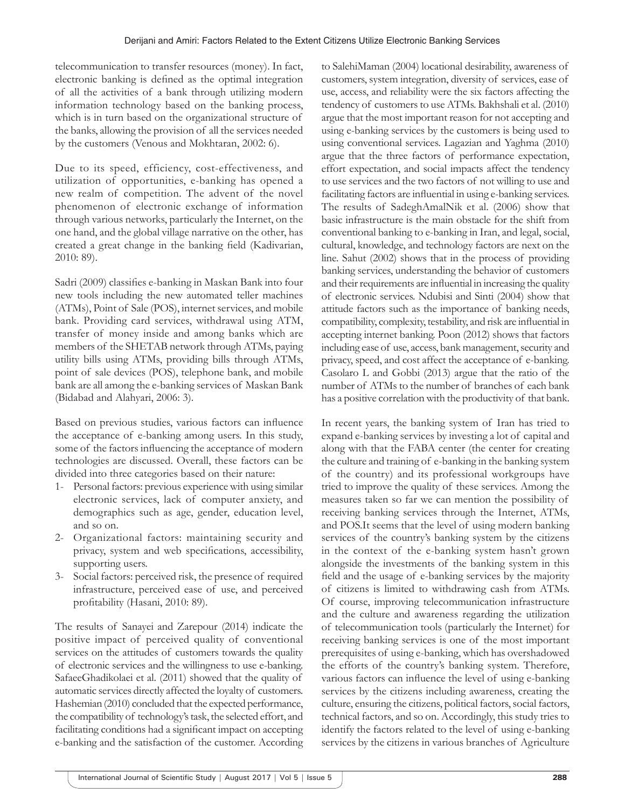telecommunication to transfer resources (money). In fact, electronic banking is defined as the optimal integration of all the activities of a bank through utilizing modern information technology based on the banking process, which is in turn based on the organizational structure of the banks, allowing the provision of all the services needed by the customers (Venous and Mokhtaran, 2002: 6).

Due to its speed, efficiency, cost-effectiveness, and utilization of opportunities, e-banking has opened a new realm of competition. The advent of the novel phenomenon of electronic exchange of information through various networks, particularly the Internet, on the one hand, and the global village narrative on the other, has created a great change in the banking field (Kadivarian, 2010: 89).

Sadri (2009) classifies e-banking in Maskan Bank into four new tools including the new automated teller machines (ATMs), Point of Sale (POS), internet services, and mobile bank. Providing card services, withdrawal using ATM, transfer of money inside and among banks which are members of the SHETAB network through ATMs, paying utility bills using ATMs, providing bills through ATMs, point of sale devices (POS), telephone bank, and mobile bank are all among the e-banking services of Maskan Bank (Bidabad and Alahyari, 2006: 3).

Based on previous studies, various factors can influence the acceptance of e-banking among users. In this study, some of the factors influencing the acceptance of modern technologies are discussed. Overall, these factors can be divided into three categories based on their nature:

- 1- Personal factors: previous experience with using similar electronic services, lack of computer anxiety, and demographics such as age, gender, education level, and so on.
- 2- Organizational factors: maintaining security and privacy, system and web specifications, accessibility, supporting users.
- 3- Social factors: perceived risk, the presence of required infrastructure, perceived ease of use, and perceived profitability (Hasani, 2010: 89).

The results of Sanayei and Zarepour (2014) indicate the positive impact of perceived quality of conventional services on the attitudes of customers towards the quality of electronic services and the willingness to use e-banking. SafaeeGhadikolaei et al. (2011) showed that the quality of automatic services directly affected the loyalty of customers. Hashemian (2010) concluded that the expected performance, the compatibility of technology's task, the selected effort, and facilitating conditions had a significant impact on accepting e-banking and the satisfaction of the customer. According to SalehiMaman (2004) locational desirability, awareness of customers, system integration, diversity of services, ease of use, access, and reliability were the six factors affecting the tendency of customers to use ATMs. Bakhshali et al. (2010) argue that the most important reason for not accepting and using e-banking services by the customers is being used to using conventional services. Lagazian and Yaghma (2010) argue that the three factors of performance expectation, effort expectation, and social impacts affect the tendency to use services and the two factors of not willing to use and facilitating factors are influential in using e-banking services. The results of SadeghAmalNik et al. (2006) show that basic infrastructure is the main obstacle for the shift from conventional banking to e-banking in Iran, and legal, social, cultural, knowledge, and technology factors are next on the line. Sahut (2002) shows that in the process of providing banking services, understanding the behavior of customers and their requirements are influential in increasing the quality of electronic services. Ndubisi and Sinti (2004) show that attitude factors such as the importance of banking needs, compatibility, complexity, testability, and risk are influential in accepting internet banking. Poon (2012) shows that factors including ease of use, access, bank management, security and privacy, speed, and cost affect the acceptance of e-banking. Casolaro L and Gobbi (2013) argue that the ratio of the number of ATMs to the number of branches of each bank has a positive correlation with the productivity of that bank.

In recent years, the banking system of Iran has tried to expand e-banking services by investing a lot of capital and along with that the FABA center (the center for creating the culture and training of e-banking in the banking system of the country) and its professional workgroups have tried to improve the quality of these services. Among the measures taken so far we can mention the possibility of receiving banking services through the Internet, ATMs, and POS.It seems that the level of using modern banking services of the country's banking system by the citizens in the context of the e-banking system hasn't grown alongside the investments of the banking system in this field and the usage of e-banking services by the majority of citizens is limited to withdrawing cash from ATMs. Of course, improving telecommunication infrastructure and the culture and awareness regarding the utilization of telecommunication tools (particularly the Internet) for receiving banking services is one of the most important prerequisites of using e-banking, which has overshadowed the efforts of the country's banking system. Therefore, various factors can influence the level of using e-banking services by the citizens including awareness, creating the culture, ensuring the citizens, political factors, social factors, technical factors, and so on. Accordingly, this study tries to identify the factors related to the level of using e-banking services by the citizens in various branches of Agriculture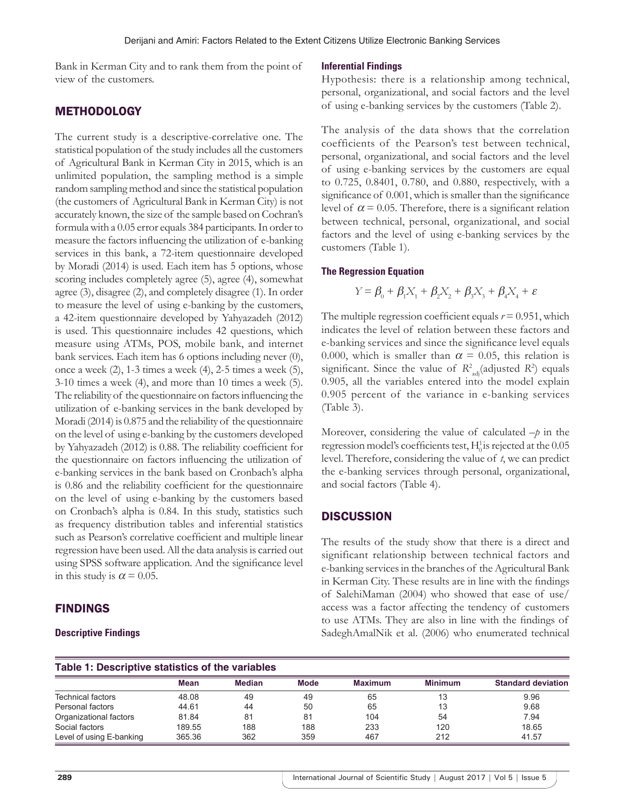Bank in Kerman City and to rank them from the point of view of the customers.

## METHODOLOGY

The current study is a descriptive-correlative one. The statistical population of the study includes all the customers of Agricultural Bank in Kerman City in 2015, which is an unlimited population, the sampling method is a simple random sampling method and since the statistical population (the customers of Agricultural Bank in Kerman City) is not accurately known, the size of the sample based on Cochran's formula with a 0.05 error equals 384 participants. In order to measure the factors influencing the utilization of e-banking services in this bank, a 72-item questionnaire developed by Moradi (2014) is used. Each item has 5 options, whose scoring includes completely agree (5), agree (4), somewhat agree (3), disagree (2), and completely disagree (1). In order to measure the level of using e-banking by the customers, a 42-item questionnaire developed by Yahyazadeh (2012) is used. This questionnaire includes 42 questions, which measure using ATMs, POS, mobile bank, and internet bank services. Each item has 6 options including never (0), once a week (2), 1-3 times a week (4), 2-5 times a week (5), 3-10 times a week (4), and more than 10 times a week (5). The reliability of the questionnaire on factors influencing the utilization of e-banking services in the bank developed by Moradi (2014) is 0.875 and the reliability of the questionnaire on the level of using e-banking by the customers developed by Yahyazadeh (2012) is 0.88. The reliability coefficient for the questionnaire on factors influencing the utilization of e-banking services in the bank based on Cronbach's alpha is 0.86 and the reliability coefficient for the questionnaire on the level of using e-banking by the customers based on Cronbach's alpha is 0.84. In this study, statistics such as frequency distribution tables and inferential statistics such as Pearson's correlative coefficient and multiple linear regression have been used. All the data analysis is carried out using SPSS software application. And the significance level in this study is  $\alpha$  = 0.05.

## FINDINGS

## **Descriptive Findings**

#### **Inferential Findings**

Hypothesis: there is a relationship among technical, personal, organizational, and social factors and the level of using e-banking services by the customers (Table 2).

The analysis of the data shows that the correlation coefficients of the Pearson's test between technical, personal, organizational, and social factors and the level of using e-banking services by the customers are equal to 0.725, 0.8401, 0.780, and 0.880, respectively, with a significance of 0.001, which is smaller than the significance level of  $\alpha$  = 0.05. Therefore, there is a significant relation between technical, personal, organizational, and social factors and the level of using e-banking services by the customers (Table 1).

#### **The Regression Equation**

$$
Y = \beta_0 + \beta_1 X_1 + \beta_2 X_2 + \beta_3 X_3 + \beta_4 X_4 + \varepsilon
$$

The multiple regression coefficient equals  $r = 0.951$ , which indicates the level of relation between these factors and e-banking services and since the significance level equals 0.000, which is smaller than  $\alpha = 0.05$ , this relation is significant. Since the value of  $R^2$ <sub>adj</sub>(adjusted  $R^2$ ) equals 0.905, all the variables entered into the model explain 0.905 percent of the variance in e-banking services (Table 3).

Moreover, considering the value of calculated  $-p$  in the regression model's coefficients test,  $H_0^1$  is rejected at the  $0.05$ level. Therefore, considering the value of *t*, we can predict the e-banking services through personal, organizational, and social factors (Table 4).

## **DISCUSSION**

The results of the study show that there is a direct and significant relationship between technical factors and e-banking services in the branches of the Agricultural Bank in Kerman City. These results are in line with the findings of SalehiMaman (2004) who showed that ease of use/ access was a factor affecting the tendency of customers to use ATMs. They are also in line with the findings of SadeghAmalNik et al. (2006) who enumerated technical

| Table 1: Descriptive statistics of the variables |               |             |                |                |                           |  |  |
|--------------------------------------------------|---------------|-------------|----------------|----------------|---------------------------|--|--|
| <b>Mean</b>                                      | <b>Median</b> | <b>Mode</b> | <b>Maximum</b> | <b>Minimum</b> | <b>Standard deviation</b> |  |  |
| 48.08                                            | 49            | 49          | 65             | 13             | 9.96                      |  |  |
| 44.61                                            | 44            | 50          | 65             | 13             | 9.68                      |  |  |
| 81.84                                            | 81            | 81          | 104            | 54             | 7.94                      |  |  |
| 189.55                                           | 188           | 188         | 233            | 120            | 18.65                     |  |  |
| 365.36                                           | 362           | 359         | 467            | 212            | 41.57                     |  |  |
|                                                  |               |             |                |                |                           |  |  |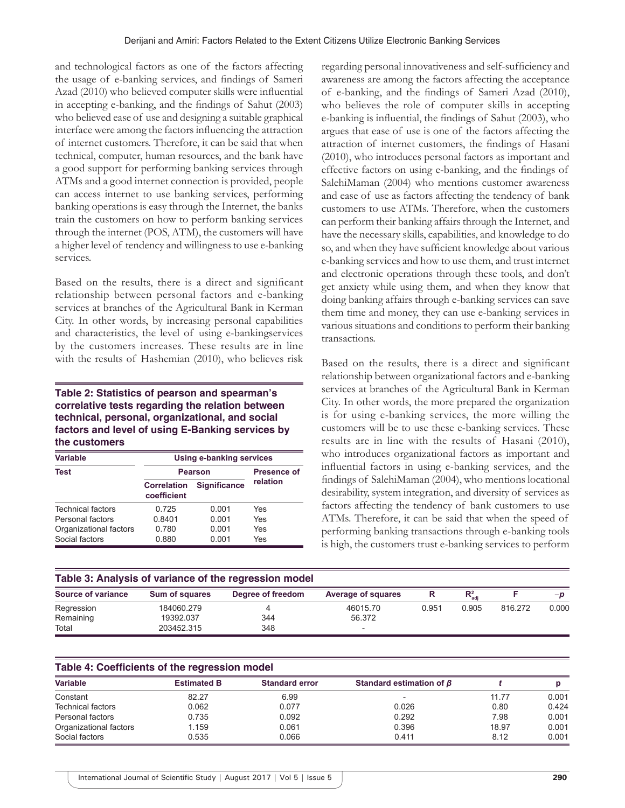and technological factors as one of the factors affecting the usage of e-banking services, and findings of Sameri Azad (2010) who believed computer skills were influential in accepting e-banking, and the findings of Sahut (2003) who believed ease of use and designing a suitable graphical interface were among the factors influencing the attraction of internet customers. Therefore, it can be said that when technical, computer, human resources, and the bank have a good support for performing banking services through ATMs and a good internet connection is provided, people can access internet to use banking services, performing banking operations is easy through the Internet, the banks train the customers on how to perform banking services through the internet (POS, ATM), the customers will have a higher level of tendency and willingness to use e-banking services.

Based on the results, there is a direct and significant relationship between personal factors and e-banking services at branches of the Agricultural Bank in Kerman City. In other words, by increasing personal capabilities and characteristics, the level of using e-bankingservices by the customers increases. These results are in line with the results of Hashemian (2010), who believes risk

## **Table 2: Statistics of pearson and spearman's correlative tests regarding the relation between technical, personal, organizational, and social factors and level of using E‑Banking services by the customers**

| <b>Variable</b>        | <b>Using e-banking services</b>   |                     |          |  |
|------------------------|-----------------------------------|---------------------|----------|--|
| Test                   | <b>Pearson</b>                    | <b>Presence of</b>  |          |  |
|                        | <b>Correlation</b><br>coefficient | <b>Significance</b> | relation |  |
| Technical factors      | 0.725                             | 0.001               | Yes      |  |
| Personal factors       | 0.8401                            | 0.001               | Yes      |  |
| Organizational factors | 0.780                             | 0.001               | Yes      |  |
| Social factors         | 0.880                             | 0.001               | Yes      |  |

regarding personal innovativeness and self-sufficiency and awareness are among the factors affecting the acceptance of e-banking, and the findings of Sameri Azad (2010), who believes the role of computer skills in accepting e-banking is influential, the findings of Sahut (2003), who argues that ease of use is one of the factors affecting the attraction of internet customers, the findings of Hasani (2010), who introduces personal factors as important and effective factors on using e-banking, and the findings of SalehiMaman (2004) who mentions customer awareness and ease of use as factors affecting the tendency of bank customers to use ATMs. Therefore, when the customers can perform their banking affairs through the Internet, and have the necessary skills, capabilities, and knowledge to do so, and when they have sufficient knowledge about various e-banking services and how to use them, and trust internet and electronic operations through these tools, and don't get anxiety while using them, and when they know that doing banking affairs through e-banking services can save them time and money, they can use e-banking services in various situations and conditions to perform their banking transactions.

Based on the results, there is a direct and significant relationship between organizational factors and e-banking services at branches of the Agricultural Bank in Kerman City. In other words, the more prepared the organization is for using e-banking services, the more willing the customers will be to use these e-banking services. These results are in line with the results of Hasani (2010), who introduces organizational factors as important and influential factors in using e-banking services, and the findings of SalehiMaman (2004), who mentions locational desirability, system integration, and diversity of services as factors affecting the tendency of bank customers to use ATMs. Therefore, it can be said that when the speed of performing banking transactions through e-banking tools is high, the customers trust e-banking services to perform

| Table 3: Analysis of variance of the regression model |                       |                   |                           |       |                    |         |       |  |
|-------------------------------------------------------|-----------------------|-------------------|---------------------------|-------|--------------------|---------|-------|--|
| Source of variance                                    | <b>Sum of squares</b> | Degree of freedom | <b>Average of squares</b> | R     | $R_{\text{adi}}^2$ |         | $-n$  |  |
| Regression                                            | 184060.279            |                   | 46015.70                  | 0.951 | 0.905              | 816.272 | 0.000 |  |
| Remaining                                             | 19392.037             | 344               | 56.372                    |       |                    |         |       |  |
| Total                                                 | 203452.315            | 348               | $\overline{\phantom{a}}$  |       |                    |         |       |  |

| Table 4: Coefficients of the regression model |                    |                       |                                |       |       |  |  |
|-----------------------------------------------|--------------------|-----------------------|--------------------------------|-------|-------|--|--|
| <b>Variable</b>                               | <b>Estimated B</b> | <b>Standard error</b> | Standard estimation of $\beta$ |       |       |  |  |
| Constant                                      | 82.27              | 6.99                  |                                | 11.77 | 0.001 |  |  |
| <b>Technical factors</b>                      | 0.062              | 0.077                 | 0.026                          | 0.80  | 0.424 |  |  |
| Personal factors                              | 0.735              | 0.092                 | 0.292                          | 7.98  | 0.001 |  |  |
| Organizational factors                        | 1.159              | 0.061                 | 0.396                          | 18.97 | 0.001 |  |  |
| Social factors                                | 0.535              | 0.066                 | 0.411                          | 8.12  | 0.001 |  |  |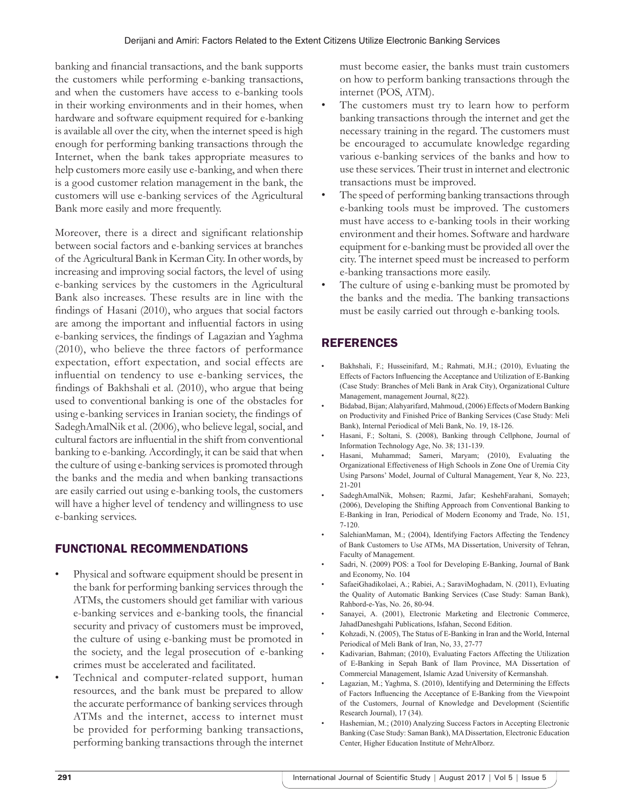banking and financial transactions, and the bank supports the customers while performing e-banking transactions, and when the customers have access to e-banking tools in their working environments and in their homes, when hardware and software equipment required for e-banking is available all over the city, when the internet speed is high enough for performing banking transactions through the Internet, when the bank takes appropriate measures to help customers more easily use e-banking, and when there is a good customer relation management in the bank, the customers will use e-banking services of the Agricultural Bank more easily and more frequently.

Moreover, there is a direct and significant relationship between social factors and e-banking services at branches of the Agricultural Bank in Kerman City. In other words, by increasing and improving social factors, the level of using e-banking services by the customers in the Agricultural Bank also increases. These results are in line with the findings of Hasani (2010), who argues that social factors are among the important and influential factors in using e-banking services, the findings of Lagazian and Yaghma (2010), who believe the three factors of performance expectation, effort expectation, and social effects are influential on tendency to use e-banking services, the findings of Bakhshali et al. (2010), who argue that being used to conventional banking is one of the obstacles for using e-banking services in Iranian society, the findings of SadeghAmalNik et al. (2006), who believe legal, social, and cultural factors are influential in the shift from conventional banking to e-banking. Accordingly, it can be said that when the culture of using e-banking services is promoted through the banks and the media and when banking transactions are easily carried out using e-banking tools, the customers will have a higher level of tendency and willingness to use e-banking services.

# FUNCTIONAL RECOMMENDATIONS

- Physical and software equipment should be present in the bank for performing banking services through the ATMs, the customers should get familiar with various e-banking services and e-banking tools, the financial security and privacy of customers must be improved, the culture of using e-banking must be promoted in the society, and the legal prosecution of e-banking crimes must be accelerated and facilitated.
- Technical and computer-related support, human resources, and the bank must be prepared to allow the accurate performance of banking services through ATMs and the internet, access to internet must be provided for performing banking transactions, performing banking transactions through the internet

must become easier, the banks must train customers on how to perform banking transactions through the internet (POS, ATM).

- The customers must try to learn how to perform banking transactions through the internet and get the necessary training in the regard. The customers must be encouraged to accumulate knowledge regarding various e-banking services of the banks and how to use these services. Their trust in internet and electronic transactions must be improved.
- The speed of performing banking transactions through e-banking tools must be improved. The customers must have access to e-banking tools in their working environment and their homes. Software and hardware equipment for e-banking must be provided all over the city. The internet speed must be increased to perform e-banking transactions more easily.
- The culture of using e-banking must be promoted by the banks and the media. The banking transactions must be easily carried out through e-banking tools.

# REFERENCES

- Bakhshali, F.; Husseinifard, M.; Rahmati, M.H.; (2010), Evluating the Effects of Factors Influencing the Acceptance and Utilization of E-Banking (Case Study: Branches of Meli Bank in Arak City), Organizational Culture Management, management Journal, 8(22).
- Bidabad, Bijan; Alahyarifard, Mahmoud, (2006) Effects of Modern Banking on Productivity and Finished Price of Banking Services (Case Study: Meli Bank), Internal Periodical of Meli Bank, No. 19, 18-126.
- Hasani, F.; Soltani, S. (2008), Banking through Cellphone, Journal of Information Technology Age, No. 38; 131-139.
- Hasani, Muhammad; Sameri, Maryam; (2010), Evaluating the Organizational Effectiveness of High Schools in Zone One of Uremia City Using Parsons' Model, Journal of Cultural Management, Year 8, No. 223, 21-201
- SadeghAmalNik, Mohsen; Razmi, Jafar; KeshehFarahani, Somayeh; (2006), Developing the Shifting Approach from Conventional Banking to E-Banking in Iran, Periodical of Modern Economy and Trade, No. 151, 7-120.
- SalehianMaman, M.; (2004), Identifying Factors Affecting the Tendency of Bank Customers to Use ATMs, MA Dissertation, University of Tehran, Faculty of Management.
- Sadri, N. (2009) POS: a Tool for Developing E-Banking, Journal of Bank and Economy, No. 104
- SafaeiGhadikolaei, A.; Rabiei, A.; SaraviMoghadam, N. (2011), Evluating the Quality of Automatic Banking Services (Case Study: Saman Bank), Rahbord-e-Yas, No. 26, 80-94.
- Sanayei, A. (2001), Electronic Marketing and Electronic Commerce, JahadDaneshgahi Publications, Isfahan, Second Edition.
- Kohzadi, N. (2005), The Status of E-Banking in Iran and the World, Internal Periodical of Meli Bank of Iran, No, 33, 27-77
- Kadivarian, Bahman; (2010), Evaluating Factors Affecting the Utilization of E-Banking in Sepah Bank of Ilam Province, MA Dissertation of Commercial Management, Islamic Azad University of Kermanshah.
- Lagazian, M.; Yaghma, S. (2010), Identifying and Determining the Effects of Factors Influencing the Acceptance of E-Banking from the Viewpoint of the Customers, Journal of Knowledge and Development (Scientific Research Journal), 17 (34).
- Hashemian, M.; (2010) Analyzing Success Factors in Accepting Electronic Banking (Case Study: Saman Bank), MADissertation, Electronic Education Center, Higher Education Institute of MehrAlborz.